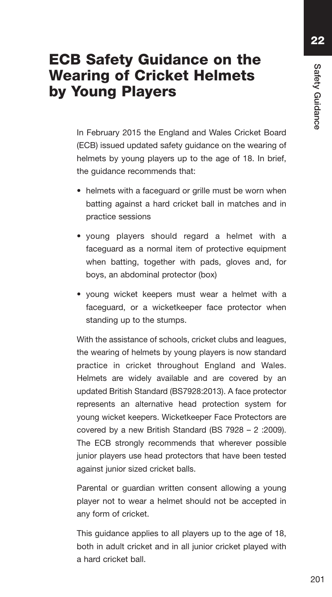**22**

## **ECB Safety Guidance on the Wearing of Cricket Helmets by Young Players**

 In February 2015 the England and Wales Cricket Board (ECB) issued updated safety guidance on the wearing of helmets by young players up to the age of 18. In brief, the guidance recommends that:

- helmets with a faceguard or grille must be worn when batting against a hard cricket ball in matches and in practice sessions
- young players should regard a helmet with a faceguard as a normal item of protective equipment when batting, together with pads, gloves and, for boys, an abdominal protector (box)
- young wicket keepers must wear a helmet with a faceguard, or a wicketkeeper face protector when standing up to the stumps.

 With the assistance of schools, cricket clubs and leagues, the wearing of helmets by young players is now standard practice in cricket throughout England and Wales. Helmets are widely available and are covered by an updated British Standard (BS7928:2013). A face protector represents an alternative head protection system for young wicket keepers. Wicketkeeper Face Protectors are covered by a new British Standard (BS 7928 – 2 :2009). The ECB strongly recommends that wherever possible junior players use head protectors that have been tested against junior sized cricket balls.

 Parental or guardian written consent allowing a young player not to wear a helmet should not be accepted in any form of cricket.

 This guidance applies to all players up to the age of 18, both in adult cricket and in all junior cricket played with a hard cricket ball.